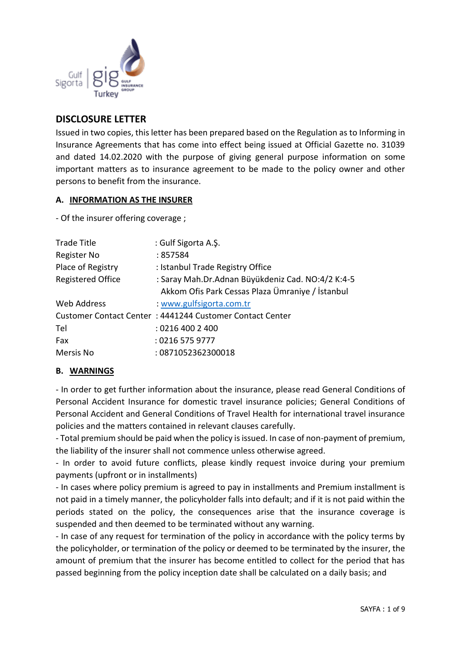

# **DISCLOSURE LETTER**

Issued in two copies, this letter has been prepared based on the Regulation as to Informing in Insurance Agreements that has come into effect being issued at Official Gazette no. 31039 and dated 14.02.2020 with the purpose of giving general purpose information on some important matters as to insurance agreement to be made to the policy owner and other persons to benefit from the insurance.

#### **A. INFORMATION AS THE INSURER**

- Of the insurer offering coverage ;

| <b>Trade Title</b>       | : Gulf Sigorta A.Ş.                                      |
|--------------------------|----------------------------------------------------------|
| Register No              | : 857584                                                 |
| Place of Registry        | : Istanbul Trade Registry Office                         |
| <b>Registered Office</b> | : Saray Mah.Dr.Adnan Büyükdeniz Cad. NO:4/2 K:4-5        |
|                          | Akkom Ofis Park Cessas Plaza Ümraniye / İstanbul         |
| Web Address              | : www.gulfsigorta.com.tr                                 |
|                          | Customer Contact Center: 4441244 Customer Contact Center |
| Tel                      | : 0216 400 2 400                                         |
| Fax                      | : 0216 575 9777                                          |
| Mersis No                | : 0871052362300018                                       |

## **B. WARNINGS**

- In order to get further information about the insurance, please read General Conditions of Personal Accident Insurance for domestic travel insurance policies; General Conditions of Personal Accident and General Conditions of Travel Health for international travel insurance policies and the matters contained in relevant clauses carefully.

- Total premium should be paid when the policy is issued. In case of non-payment of premium, the liability of the insurer shall not commence unless otherwise agreed.

- In order to avoid future conflicts, please kindly request invoice during your premium payments (upfront or in installments)

- In cases where policy premium is agreed to pay in installments and Premium installment is not paid in a timely manner, the policyholder falls into default; and if it is not paid within the periods stated on the policy, the consequences arise that the insurance coverage is suspended and then deemed to be terminated without any warning.

- In case of any request for termination of the policy in accordance with the policy terms by the policyholder, or termination of the policy or deemed to be terminated by the insurer, the amount of premium that the insurer has become entitled to collect for the period that has passed beginning from the policy inception date shall be calculated on a daily basis; and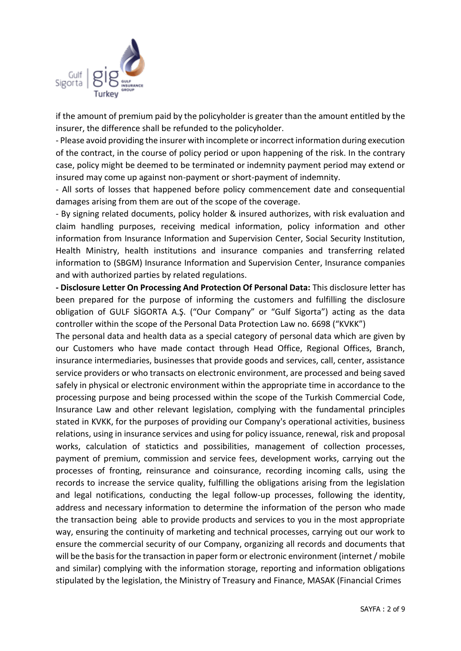

if the amount of premium paid by the policyholder is greater than the amount entitled by the insurer, the difference shall be refunded to the policyholder.

- Please avoid providing the insurer with incomplete or incorrect information during execution of the contract, in the course of policy period or upon happening of the risk. In the contrary case, policy might be deemed to be terminated or indemnity payment period may extend or insured may come up against non-payment or short-payment of indemnity.

- All sorts of losses that happened before policy commencement date and consequential damages arising from them are out of the scope of the coverage.

- By signing related documents, policy holder & insured authorizes, with risk evaluation and claim handling purposes, receiving medical information, policy information and other information from Insurance Information and Supervision Center, Social Security Institution, Health Ministry, health institutions and insurance companies and transferring related information to (SBGM) Insurance Information and Supervision Center, Insurance companies and with authorized parties by related regulations.

**- Disclosure Letter On Processing And Protection Of Personal Data:** This disclosure letter has been prepared for the purpose of informing the customers and fulfilling the disclosure obligation of GULF SİGORTA A.Ş. ("Our Company" or "Gulf Sigorta") acting as the data controller within the scope of the Personal Data Protection Law no. 6698 ("KVKK")

The personal data and health data as a special category of personal data which are given by our Customers who have made contact through Head Office, Regional Offices, Branch, insurance intermediaries, businesses that provide goods and services, call, center, assistance service providers or who transacts on electronic environment, are processed and being saved safely in physical or electronic environment within the appropriate time in accordance to the processing purpose and being processed within the scope of the Turkish Commercial Code, Insurance Law and other relevant legislation, complying with the fundamental principles stated in KVKK, for the purposes of providing our Company's operational activities, business relations, using in insurance services and using for policy issuance, renewal, risk and proposal works, calculation of statictics and possibilities, management of collection processes, payment of premium, commission and service fees, development works, carrying out the processes of fronting, reinsurance and coinsurance, recording incoming calls, using the records to increase the service quality, fulfilling the obligations arising from the legislation and legal notifications, conducting the legal follow-up processes, following the identity, address and necessary information to determine the information of the person who made the transaction being able to provide products and services to you in the most appropriate way, ensuring the continuity of marketing and technical processes, carrying out our work to ensure the commercial security of our Company, organizing all records and documents that will be the basis for the transaction in paper form or electronic environment (internet / mobile and similar) complying with the information storage, reporting and information obligations stipulated by the legislation, the Ministry of Treasury and Finance, MASAK (Financial Crimes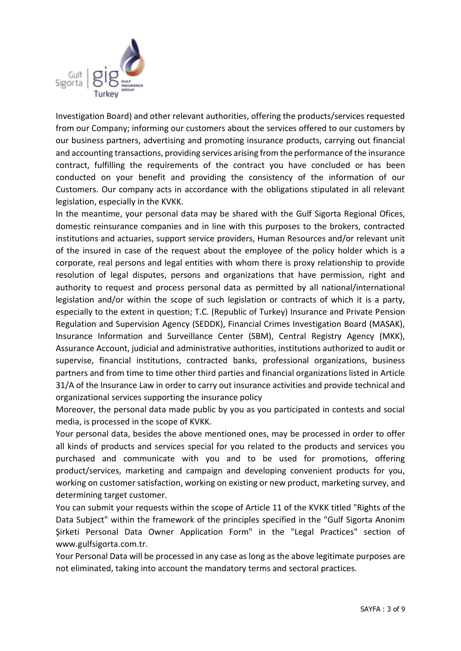

Investigation Board) and other relevant authorities, offering the products/services requested from our Company; informing our customers about the services offered to our customers by our business partners, advertising and promoting insurance products, carrying out financial and accounting transactions, providing services arising from the performance of the insurance contract, fulfilling the requirements of the contract you have concluded or has been conducted on your benefit and providing the consistency of the information of our Customers. Our company acts in accordance with the obligations stipulated in all relevant legislation, especially in the KVKK.

In the meantime, your personal data may be shared with the Gulf Sigorta Regional Ofices, domestic reinsurance companies and in line with this purposes to the brokers, contracted institutions and actuaries, support service providers, Human Resources and/or relevant unit of the insured in case of the request about the employee of the policy holder which is a corporate, real persons and legal entities with whom there is proxy relationship to provide resolution of legal disputes, persons and organizations that have permission, right and authority to request and process personal data as permitted by all national/international legislation and/or within the scope of such legislation or contracts of which it is a party, especially to the extent in question; T.C. (Republic of Turkey) Insurance and Private Pension Regulation and Supervision Agency (SEDDK), Financial Crimes Investigation Board (MASAK), Insurance Information and Surveillance Center (SBM), Central Registry Agency (MKK), Assurance Account, judicial and administrative authorities, institutions authorized to audit or supervise, financial institutions, contracted banks, professional organizations, business partners and from time to time other third parties and financial organizations listed in Article 31/A of the Insurance Law in order to carry out insurance activities and provide technical and organizational services supporting the insurance policy

Moreover, the personal data made public by you as you participated in contests and social media, is processed in the scope of KVKK.

Your personal data, besides the above mentioned ones, may be processed in order to offer all kinds of products and services special for you related to the products and services you purchased and communicate with you and to be used for promotions, offering product/services, marketing and campaign and developing convenient products for you, working on customer satisfaction, working on existing or new product, marketing survey, and determining target customer.

You can submit your requests within the scope of Article 11 of the KVKK titled "Rights of the Data Subject" within the framework of the principles specified in the "Gulf Sigorta Anonim Şirketi Personal Data Owner Application Form" in the "Legal Practices" section of www.gulfsigorta.com.tr.

Your Personal Data will be processed in any case as long as the above legitimate purposes are not eliminated, taking into account the mandatory terms and sectoral practices.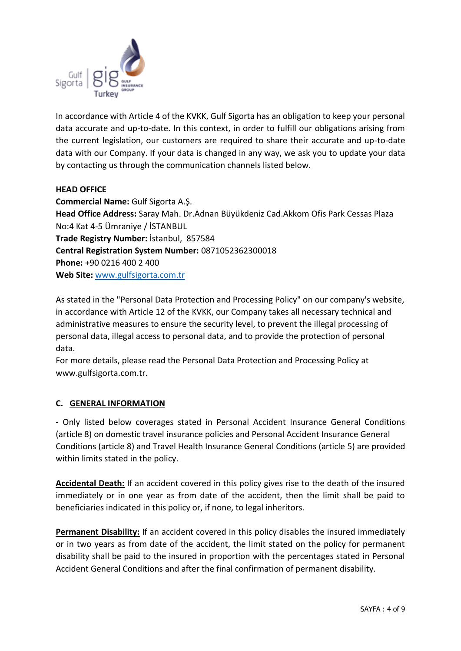

In accordance with Article 4 of the KVKK, Gulf Sigorta has an obligation to keep your personal data accurate and up-to-date. In this context, in order to fulfill our obligations arising from the current legislation, our customers are required to share their accurate and up-to-date data with our Company. If your data is changed in any way, we ask you to update your data by contacting us through the communication channels listed below.

### **HEAD OFFICE**

**Commercial Name:** Gulf Sigorta A.Ş. **Head Office Address:** Saray Mah. Dr.Adnan Büyükdeniz Cad.Akkom Ofis Park Cessas Plaza No:4 Kat 4-5 Ümraniye / İSTANBUL **Trade Registry Number:** İstanbul, 857584 **Central Registration System Number:** 0871052362300018 **Phone:** +90 0216 400 2 400 **Web Site:** [www.gulfsigorta.com.tr](http://www.gulfsigorta.com.tr/)

As stated in the "Personal Data Protection and Processing Policy" on our company's website, in accordance with Article 12 of the KVKK, our Company takes all necessary technical and administrative measures to ensure the security level, to prevent the illegal processing of personal data, illegal access to personal data, and to provide the protection of personal data.

For more details, please read the Personal Data Protection and Processing Policy at www.gulfsigorta.com.tr.

#### **C. GENERAL INFORMATION**

- Only listed below coverages stated in Personal Accident Insurance General Conditions (article 8) on domestic travel insurance policies and Personal Accident Insurance General Conditions (article 8) and Travel Health Insurance General Conditions (article 5) are provided within limits stated in the policy.

**Accidental Death:** If an accident covered in this policy gives rise to the death of the insured immediately or in one year as from date of the accident, then the limit shall be paid to beneficiaries indicated in this policy or, if none, to legal inheritors.

**Permanent Disability:** If an accident covered in this policy disables the insured immediately or in two years as from date of the accident, the limit stated on the policy for permanent disability shall be paid to the insured in proportion with the percentages stated in Personal Accident General Conditions and after the final confirmation of permanent disability.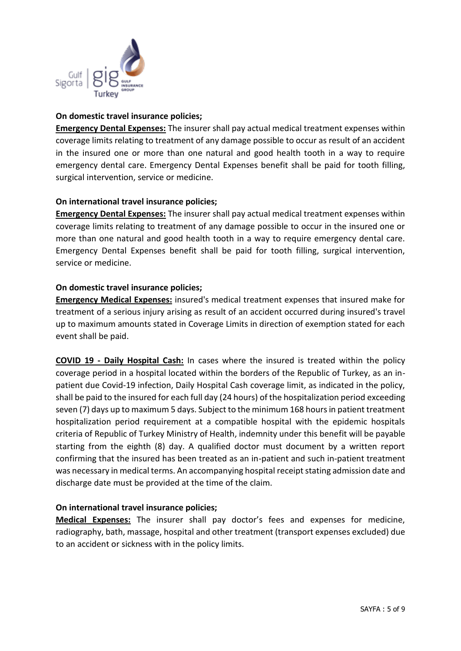

### **On domestic travel insurance policies;**

**Emergency Dental Expenses:** The insurer shall pay actual medical treatment expenses within coverage limits relating to treatment of any damage possible to occur as result of an accident in the insured one or more than one natural and good health tooth in a way to require emergency dental care. Emergency Dental Expenses benefit shall be paid for tooth filling, surgical intervention, service or medicine.

### **On international travel insurance policies;**

**Emergency Dental Expenses:** The insurer shall pay actual medical treatment expenses within coverage limits relating to treatment of any damage possible to occur in the insured one or more than one natural and good health tooth in a way to require emergency dental care. Emergency Dental Expenses benefit shall be paid for tooth filling, surgical intervention, service or medicine.

### **On domestic travel insurance policies;**

**Emergency Medical Expenses:** insured's medical treatment expenses that insured make for treatment of a serious injury arising as result of an accident occurred during insured's travel up to maximum amounts stated in Coverage Limits in direction of exemption stated for each event shall be paid.

**COVID 19 - Daily Hospital Cash:** In cases where the insured is treated within the policy coverage period in a hospital located within the borders of the Republic of Turkey, as an inpatient due Covid-19 infection, Daily Hospital Cash coverage limit, as indicated in the policy, shall be paid to the insured for each full day (24 hours) of the hospitalization period exceeding seven (7) days up to maximum 5 days. Subject to the minimum 168 hours in patient treatment hospitalization period requirement at a compatible hospital with the epidemic hospitals criteria of Republic of Turkey Ministry of Health, indemnity under this benefit will be payable starting from the eighth (8) day. A qualified doctor must document by a written report confirming that the insured has been treated as an in-patient and such in-patient treatment was necessary in medical terms. An accompanying hospital receipt stating admission date and discharge date must be provided at the time of the claim.

#### **On international travel insurance policies;**

**Medical Expenses:** The insurer shall pay doctor's fees and expenses for medicine, radiography, bath, massage, hospital and other treatment (transport expenses excluded) due to an accident or sickness with in the policy limits.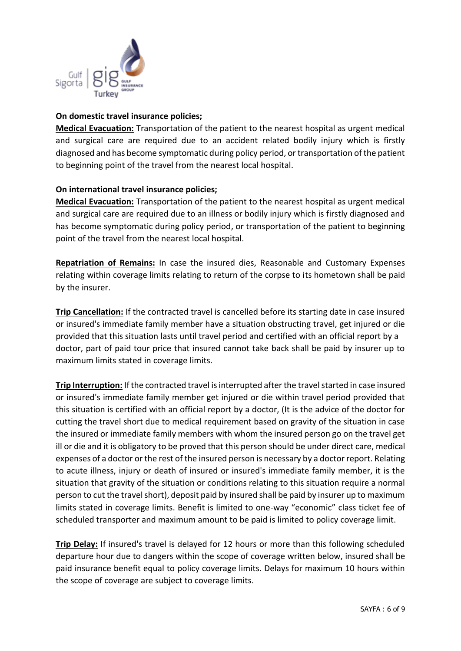

### **On domestic travel insurance policies;**

**Medical Evacuation:** Transportation of the patient to the nearest hospital as urgent medical and surgical care are required due to an accident related bodily injury which is firstly diagnosed and has become symptomatic during policy period, or transportation of the patient to beginning point of the travel from the nearest local hospital.

### **On international travel insurance policies;**

**Medical Evacuation:** Transportation of the patient to the nearest hospital as urgent medical and surgical care are required due to an illness or bodily injury which is firstly diagnosed and has become symptomatic during policy period, or transportation of the patient to beginning point of the travel from the nearest local hospital.

**Repatriation of Remains:** In case the insured dies, Reasonable and Customary Expenses relating within coverage limits relating to return of the corpse to its hometown shall be paid by the insurer.

**Trip Cancellation:** If the contracted travel is cancelled before its starting date in case insured or insured's immediate family member have a situation obstructing travel, get injured or die provided that this situation lasts until travel period and certified with an official report by a doctor, part of paid tour price that insured cannot take back shall be paid by insurer up to maximum limits stated in coverage limits.

**Trip Interruption:** If the contracted travel is interrupted after the travel started in case insured or insured's immediate family member get injured or die within travel period provided that this situation is certified with an official report by a doctor, (It is the advice of the doctor for cutting the travel short due to medical requirement based on gravity of the situation in case the insured or immediate family members with whom the insured person go on the travel get ill or die and it is obligatory to be proved that this person should be under direct care, medical expenses of a doctor or the rest of the insured person is necessary by a doctor report. Relating to acute illness, injury or death of insured or insured's immediate family member, it is the situation that gravity of the situation or conditions relating to this situation require a normal person to cut the travel short), deposit paid by insured shall be paid by insurer up to maximum limits stated in coverage limits. Benefit is limited to one-way "economic" class ticket fee of scheduled transporter and maximum amount to be paid is limited to policy coverage limit.

**Trip Delay:** If insured's travel is delayed for 12 hours or more than this following scheduled departure hour due to dangers within the scope of coverage written below, insured shall be paid insurance benefit equal to policy coverage limits. Delays for maximum 10 hours within the scope of coverage are subject to coverage limits.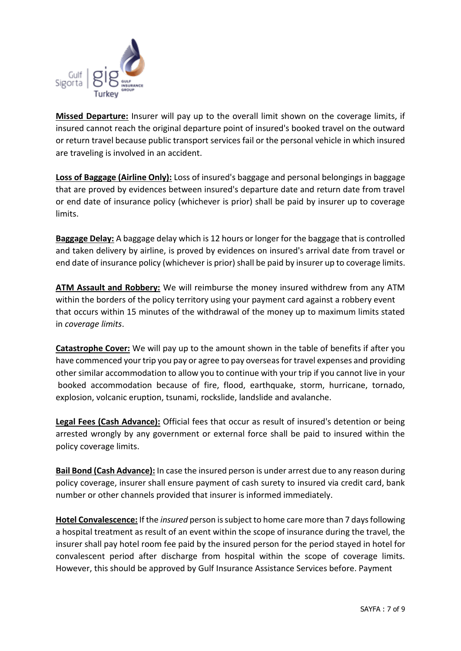

**Missed Departure:** Insurer will pay up to the overall limit shown on the coverage limits, if insured cannot reach the original departure point of insured's booked travel on the outward or return travel because public transport services fail or the personal vehicle in which insured are traveling is involved in an accident.

**Loss of Baggage (Airline Only):** Loss of insured's baggage and personal belongings in baggage that are proved by evidences between insured's departure date and return date from travel or end date of insurance policy (whichever is prior) shall be paid by insurer up to coverage limits.

**Baggage Delay:** A baggage delay which is 12 hours or longer for the baggage that is controlled and taken delivery by airline, is proved by evidences on insured's arrival date from travel or end date of insurance policy (whichever is prior) shall be paid by insurer up to coverage limits.

**ATM Assault and Robbery:** We will reimburse the money insured withdrew from any ATM within the borders of the policy territory using your payment card against a robbery event that occurs within 15 minutes of the withdrawal of the money up to maximum limits stated in *coverage limits*.

**Catastrophe Cover:** We will pay up to the amount shown in the table of benefits if after you have commenced your trip you pay or agree to pay overseas for travel expenses and providing other similar accommodation to allow you to continue with your trip if you cannot live in your booked accommodation because of fire, flood, earthquake, storm, hurricane, tornado, explosion, volcanic eruption, tsunami, rockslide, landslide and avalanche.

**Legal Fees (Cash Advance):** Official fees that occur as result of insured's detention or being arrested wrongly by any government or external force shall be paid to insured within the policy coverage limits.

**Bail Bond (Cash Advance):** In case the insured person is under arrest due to any reason during policy coverage, insurer shall ensure payment of cash surety to insured via credit card, bank number or other channels provided that insurer is informed immediately.

**Hotel Convalescence:** If the *insured* person is subject to home care more than 7 days following a hospital treatment as result of an event within the scope of insurance during the travel, the insurer shall pay hotel room fee paid by the insured person for the period stayed in hotel for convalescent period after discharge from hospital within the scope of coverage limits. However, this should be approved by Gulf Insurance Assistance Services before. Payment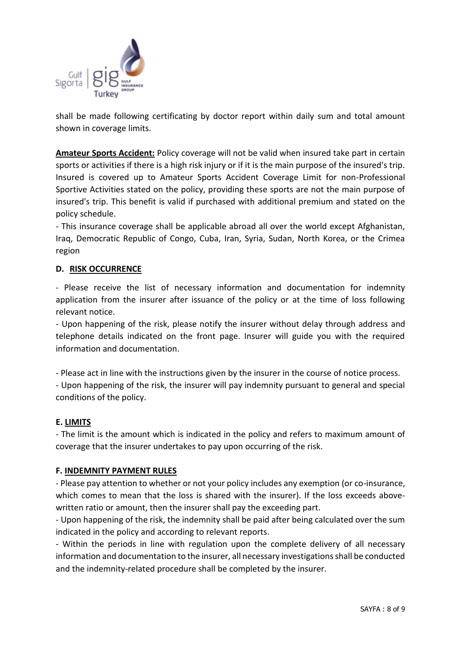

shall be made following certificating by doctor report within daily sum and total amount shown in coverage limits.

**Amateur Sports Accident:** Policy coverage will not be valid when insured take part in certain sports or activities if there is a high risk injury or if it is the main purpose of the insured's trip. Insured is covered up to Amateur Sports Accident Coverage Limit for non-Professional Sportive Activities stated on the policy, providing these sports are not the main purpose of insured's trip. This benefit is valid if purchased with additional premium and stated on the policy schedule.

- This insurance coverage shall be applicable abroad all over the world except Afghanistan, Iraq, Democratic Republic of Congo, Cuba, Iran, Syria, Sudan, North Korea, or the Crimea region

### **D. RISK OCCURRENCE**

- Please receive the list of necessary information and documentation for indemnity application from the insurer after issuance of the policy or at the time of loss following relevant notice.

- Upon happening of the risk, please notify the insurer without delay through address and telephone details indicated on the front page. Insurer will guide you with the required information and documentation.

- Please act in line with the instructions given by the insurer in the course of notice process.

- Upon happening of the risk, the insurer will pay indemnity pursuant to general and special conditions of the policy.

#### **E. LIMITS**

- The limit is the amount which is indicated in the policy and refers to maximum amount of coverage that the insurer undertakes to pay upon occurring of the risk.

#### **F. INDEMNITY PAYMENT RULES**

- Please pay attention to whether or not your policy includes any exemption (or co-insurance, which comes to mean that the loss is shared with the insurer). If the loss exceeds abovewritten ratio or amount, then the insurer shall pay the exceeding part.

- Upon happening of the risk, the indemnity shall be paid after being calculated over the sum indicated in the policy and according to relevant reports.

- Within the periods in line with regulation upon the complete delivery of all necessary information and documentation to the insurer, all necessary investigations shall be conducted and the indemnity-related procedure shall be completed by the insurer.